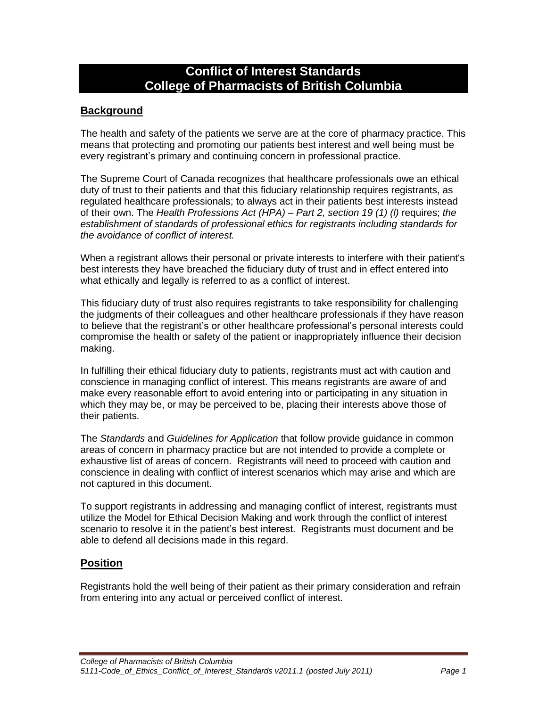# **Conflict of Interest Standards College of Pharmacists of British Columbia**

## **Background**

The health and safety of the patients we serve are at the core of pharmacy practice. This means that protecting and promoting our patients best interest and well being must be every registrant's primary and continuing concern in professional practice.

The Supreme Court of Canada recognizes that healthcare professionals owe an ethical duty of trust to their patients and that this fiduciary relationship requires registrants, as regulated healthcare professionals; to always act in their patients best interests instead of their own. The *Health Professions Act (HPA) – Part 2, section 19 (1) (l)* requires; *the establishment of standards of professional ethics for registrants including standards for the avoidance of conflict of interest.*

When a registrant allows their personal or private interests to interfere with their patient's best interests they have breached the fiduciary duty of trust and in effect entered into what ethically and legally is referred to as a conflict of interest.

This fiduciary duty of trust also requires registrants to take responsibility for challenging the judgments of their colleagues and other healthcare professionals if they have reason to believe that the registrant's or other healthcare professional's personal interests could compromise the health or safety of the patient or inappropriately influence their decision making.

In fulfilling their ethical fiduciary duty to patients, registrants must act with caution and conscience in managing conflict of interest. This means registrants are aware of and make every reasonable effort to avoid entering into or participating in any situation in which they may be, or may be perceived to be, placing their interests above those of their patients.

The *Standards* and *Guidelines for Application* that follow provide guidance in common areas of concern in pharmacy practice but are not intended to provide a complete or exhaustive list of areas of concern. Registrants will need to proceed with caution and conscience in dealing with conflict of interest scenarios which may arise and which are not captured in this document.

To support registrants in addressing and managing conflict of interest, registrants must utilize the Model for Ethical Decision Making and work through the conflict of interest scenario to resolve it in the patient's best interest. Registrants must document and be able to defend all decisions made in this regard.

#### **Position**

Registrants hold the well being of their patient as their primary consideration and refrain from entering into any actual or perceived conflict of interest.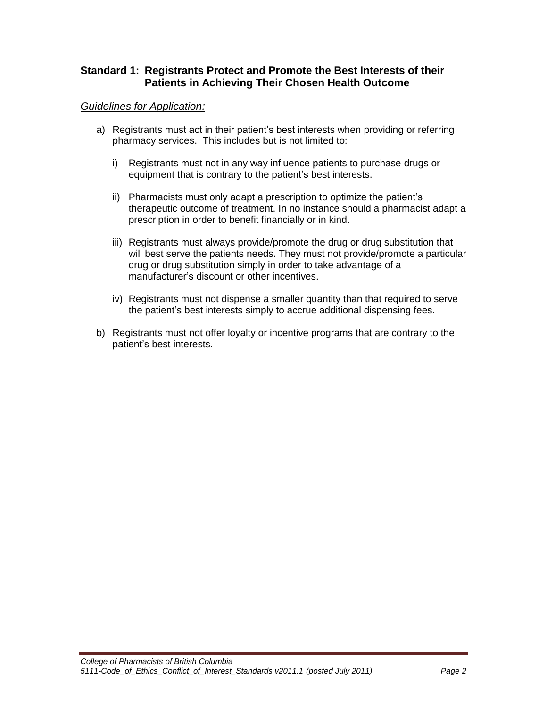## **Standard 1: Registrants Protect and Promote the Best Interests of their Patients in Achieving Their Chosen Health Outcome**

#### *Guidelines for Application:*

- a) Registrants must act in their patient's best interests when providing or referring pharmacy services. This includes but is not limited to:
	- i) Registrants must not in any way influence patients to purchase drugs or equipment that is contrary to the patient's best interests.
	- ii) Pharmacists must only adapt a prescription to optimize the patient's therapeutic outcome of treatment. In no instance should a pharmacist adapt a prescription in order to benefit financially or in kind.
	- iii) Registrants must always provide/promote the drug or drug substitution that will best serve the patients needs. They must not provide/promote a particular drug or drug substitution simply in order to take advantage of a manufacturer's discount or other incentives.
	- iv) Registrants must not dispense a smaller quantity than that required to serve the patient's best interests simply to accrue additional dispensing fees.
- b) Registrants must not offer loyalty or incentive programs that are contrary to the patient's best interests.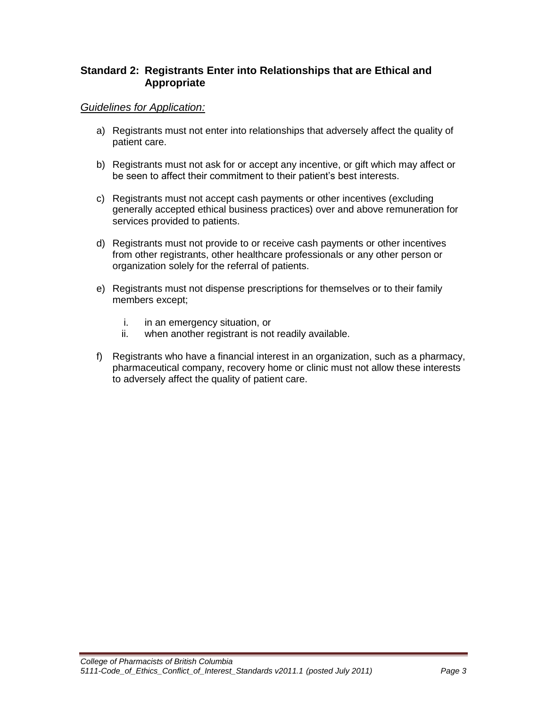## **Standard 2: Registrants Enter into Relationships that are Ethical and Appropriate**

## *Guidelines for Application:*

- a) Registrants must not enter into relationships that adversely affect the quality of patient care.
- b) Registrants must not ask for or accept any incentive, or gift which may affect or be seen to affect their commitment to their patient's best interests.
- c) Registrants must not accept cash payments or other incentives (excluding generally accepted ethical business practices) over and above remuneration for services provided to patients.
- d) Registrants must not provide to or receive cash payments or other incentives from other registrants, other healthcare professionals or any other person or organization solely for the referral of patients.
- e) Registrants must not dispense prescriptions for themselves or to their family members except;
	- i. in an emergency situation, or
	- ii. when another registrant is not readily available.
- f) Registrants who have a financial interest in an organization, such as a pharmacy, pharmaceutical company, recovery home or clinic must not allow these interests to adversely affect the quality of patient care.